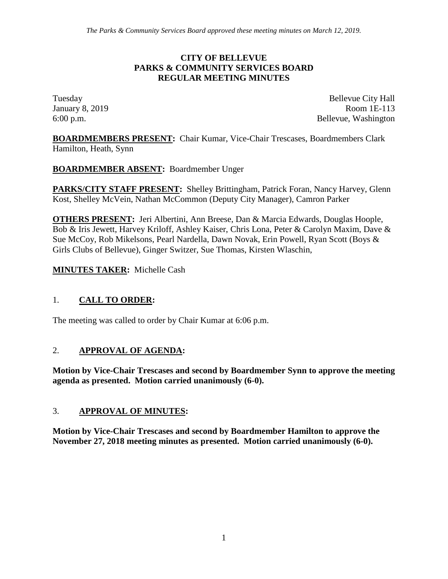#### **CITY OF BELLEVUE PARKS & COMMUNITY SERVICES BOARD REGULAR MEETING MINUTES**

Tuesday Bellevue City Hall January 8, 2019 Room 1E-113 6:00 p.m. Bellevue, Washington

**BOARDMEMBERS PRESENT:** Chair Kumar, Vice-Chair Trescases, Boardmembers Clark Hamilton, Heath, Synn

**BOARDMEMBER ABSENT:** Boardmember Unger

**PARKS/CITY STAFF PRESENT:** Shelley Brittingham, Patrick Foran, Nancy Harvey, Glenn Kost, Shelley McVein, Nathan McCommon (Deputy City Manager), Camron Parker

**OTHERS PRESENT:** Jeri Albertini, Ann Breese, Dan & Marcia Edwards, Douglas Hoople, Bob & Iris Jewett, Harvey Kriloff, Ashley Kaiser, Chris Lona, Peter & Carolyn Maxim, Dave & Sue McCoy, Rob Mikelsons, Pearl Nardella, Dawn Novak, Erin Powell, Ryan Scott (Boys & Girls Clubs of Bellevue), Ginger Switzer, Sue Thomas, Kirsten Wlaschin,

**MINUTES TAKER:** Michelle Cash

## 1. **CALL TO ORDER:**

The meeting was called to order by Chair Kumar at 6:06 p.m.

#### 2. **APPROVAL OF AGENDA:**

**Motion by Vice-Chair Trescases and second by Boardmember Synn to approve the meeting agenda as presented. Motion carried unanimously (6-0).**

#### 3. **APPROVAL OF MINUTES:**

**Motion by Vice-Chair Trescases and second by Boardmember Hamilton to approve the November 27, 2018 meeting minutes as presented. Motion carried unanimously (6-0).**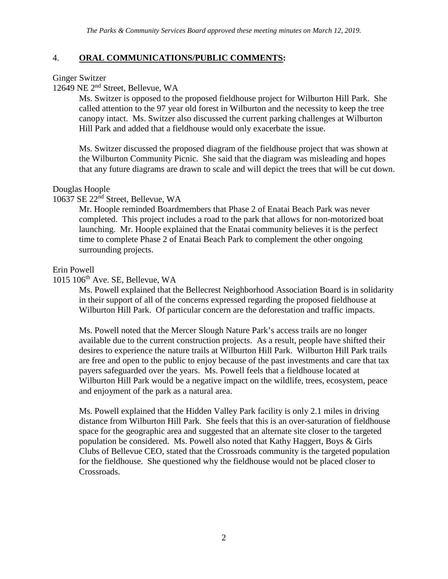#### 4. **ORAL COMMUNICATIONS/PUBLIC COMMENTS:**

#### Ginger Switzer

12649 NE 2nd Street, Bellevue, WA

Ms. Switzer is opposed to the proposed fieldhouse project for Wilburton Hill Park. She called attention to the 97 year old forest in Wilburton and the necessity to keep the tree canopy intact. Ms. Switzer also discussed the current parking challenges at Wilburton Hill Park and added that a fieldhouse would only exacerbate the issue.

Ms. Switzer discussed the proposed diagram of the fieldhouse project that was shown at the Wilburton Community Picnic. She said that the diagram was misleading and hopes that any future diagrams are drawn to scale and will depict the trees that will be cut down.

#### Douglas Hoople

10637 SE 22nd Street, Bellevue, WA

Mr. Hoople reminded Boardmembers that Phase 2 of Enatai Beach Park was never completed. This project includes a road to the park that allows for non-motorized boat launching. Mr. Hoople explained that the Enatai community believes it is the perfect time to complete Phase 2 of Enatai Beach Park to complement the other ongoing surrounding projects.

#### Erin Powell

1015 106th Ave. SE, Bellevue, WA

Ms. Powell explained that the Bellecrest Neighborhood Association Board is in solidarity in their support of all of the concerns expressed regarding the proposed fieldhouse at Wilburton Hill Park. Of particular concern are the deforestation and traffic impacts.

Ms. Powell noted that the Mercer Slough Nature Park's access trails are no longer available due to the current construction projects. As a result, people have shifted their desires to experience the nature trails at Wilburton Hill Park. Wilburton Hill Park trails are free and open to the public to enjoy because of the past investments and care that tax payers safeguarded over the years. Ms. Powell feels that a fieldhouse located at Wilburton Hill Park would be a negative impact on the wildlife, trees, ecosystem, peace and enjoyment of the park as a natural area.

Ms. Powell explained that the Hidden Valley Park facility is only 2.1 miles in driving distance from Wilburton Hill Park. She feels that this is an over-saturation of fieldhouse space for the geographic area and suggested that an alternate site closer to the targeted population be considered. Ms. Powell also noted that Kathy Haggert, Boys & Girls Clubs of Bellevue CEO, stated that the Crossroads community is the targeted population for the fieldhouse. She questioned why the fieldhouse would not be placed closer to Crossroads.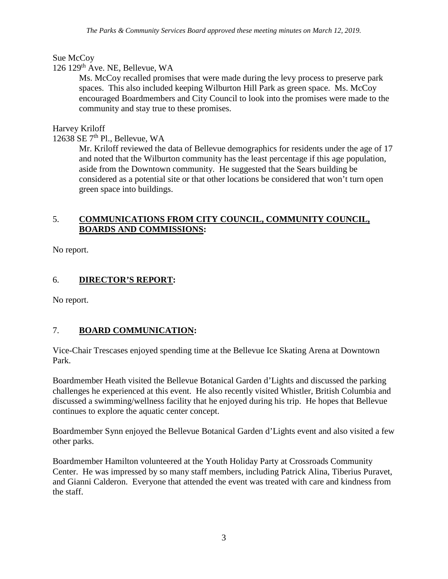# Sue McCoy

### $126$   $129<sup>th</sup>$  Ave. NE, Bellevue, WA

Ms. McCoy recalled promises that were made during the levy process to preserve park spaces. This also included keeping Wilburton Hill Park as green space. Ms. McCoy encouraged Boardmembers and City Council to look into the promises were made to the community and stay true to these promises.

### Harvey Kriloff

12638 SE  $7<sup>th</sup>$  Pl., Bellevue, WA

Mr. Kriloff reviewed the data of Bellevue demographics for residents under the age of 17 and noted that the Wilburton community has the least percentage if this age population, aside from the Downtown community. He suggested that the Sears building be considered as a potential site or that other locations be considered that won't turn open green space into buildings.

#### 5. **COMMUNICATIONS FROM CITY COUNCIL, COMMUNITY COUNCIL, BOARDS AND COMMISSIONS:**

No report.

# 6. **DIRECTOR'S REPORT:**

No report.

## 7. **BOARD COMMUNICATION:**

Vice-Chair Trescases enjoyed spending time at the Bellevue Ice Skating Arena at Downtown Park.

Boardmember Heath visited the Bellevue Botanical Garden d'Lights and discussed the parking challenges he experienced at this event. He also recently visited Whistler, British Columbia and discussed a swimming/wellness facility that he enjoyed during his trip. He hopes that Bellevue continues to explore the aquatic center concept.

Boardmember Synn enjoyed the Bellevue Botanical Garden d'Lights event and also visited a few other parks.

Boardmember Hamilton volunteered at the Youth Holiday Party at Crossroads Community Center. He was impressed by so many staff members, including Patrick Alina, Tiberius Puravet, and Gianni Calderon. Everyone that attended the event was treated with care and kindness from the staff.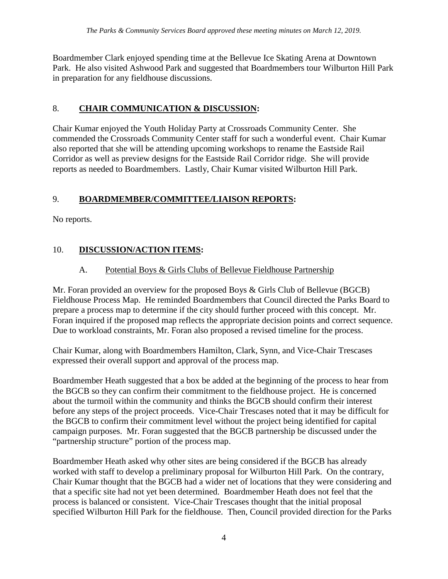Boardmember Clark enjoyed spending time at the Bellevue Ice Skating Arena at Downtown Park. He also visited Ashwood Park and suggested that Boardmembers tour Wilburton Hill Park in preparation for any fieldhouse discussions.

### 8. **CHAIR COMMUNICATION & DISCUSSION:**

Chair Kumar enjoyed the Youth Holiday Party at Crossroads Community Center. She commended the Crossroads Community Center staff for such a wonderful event. Chair Kumar also reported that she will be attending upcoming workshops to rename the Eastside Rail Corridor as well as preview designs for the Eastside Rail Corridor ridge. She will provide reports as needed to Boardmembers. Lastly, Chair Kumar visited Wilburton Hill Park.

# 9. **BOARDMEMBER/COMMITTEE/LIAISON REPORTS:**

No reports.

# 10. **DISCUSSION/ACTION ITEMS:**

## A. Potential Boys & Girls Clubs of Bellevue Fieldhouse Partnership

Mr. Foran provided an overview for the proposed Boys & Girls Club of Bellevue (BGCB) Fieldhouse Process Map. He reminded Boardmembers that Council directed the Parks Board to prepare a process map to determine if the city should further proceed with this concept. Mr. Foran inquired if the proposed map reflects the appropriate decision points and correct sequence. Due to workload constraints, Mr. Foran also proposed a revised timeline for the process.

Chair Kumar, along with Boardmembers Hamilton, Clark, Synn, and Vice-Chair Trescases expressed their overall support and approval of the process map.

Boardmember Heath suggested that a box be added at the beginning of the process to hear from the BGCB so they can confirm their commitment to the fieldhouse project. He is concerned about the turmoil within the community and thinks the BGCB should confirm their interest before any steps of the project proceeds. Vice-Chair Trescases noted that it may be difficult for the BGCB to confirm their commitment level without the project being identified for capital campaign purposes. Mr. Foran suggested that the BGCB partnership be discussed under the "partnership structure" portion of the process map.

Boardmember Heath asked why other sites are being considered if the BGCB has already worked with staff to develop a preliminary proposal for Wilburton Hill Park. On the contrary, Chair Kumar thought that the BGCB had a wider net of locations that they were considering and that a specific site had not yet been determined. Boardmember Heath does not feel that the process is balanced or consistent. Vice-Chair Trescases thought that the initial proposal specified Wilburton Hill Park for the fieldhouse. Then, Council provided direction for the Parks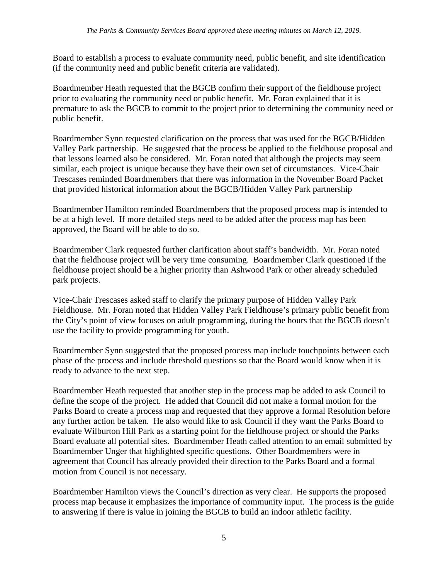Board to establish a process to evaluate community need, public benefit, and site identification (if the community need and public benefit criteria are validated).

Boardmember Heath requested that the BGCB confirm their support of the fieldhouse project prior to evaluating the community need or public benefit. Mr. Foran explained that it is premature to ask the BGCB to commit to the project prior to determining the community need or public benefit.

Boardmember Synn requested clarification on the process that was used for the BGCB/Hidden Valley Park partnership. He suggested that the process be applied to the fieldhouse proposal and that lessons learned also be considered. Mr. Foran noted that although the projects may seem similar, each project is unique because they have their own set of circumstances. Vice-Chair Trescases reminded Boardmembers that there was information in the November Board Packet that provided historical information about the BGCB/Hidden Valley Park partnership

Boardmember Hamilton reminded Boardmembers that the proposed process map is intended to be at a high level. If more detailed steps need to be added after the process map has been approved, the Board will be able to do so.

Boardmember Clark requested further clarification about staff's bandwidth. Mr. Foran noted that the fieldhouse project will be very time consuming. Boardmember Clark questioned if the fieldhouse project should be a higher priority than Ashwood Park or other already scheduled park projects.

Vice-Chair Trescases asked staff to clarify the primary purpose of Hidden Valley Park Fieldhouse. Mr. Foran noted that Hidden Valley Park Fieldhouse's primary public benefit from the City's point of view focuses on adult programming, during the hours that the BGCB doesn't use the facility to provide programming for youth.

Boardmember Synn suggested that the proposed process map include touchpoints between each phase of the process and include threshold questions so that the Board would know when it is ready to advance to the next step.

Boardmember Heath requested that another step in the process map be added to ask Council to define the scope of the project. He added that Council did not make a formal motion for the Parks Board to create a process map and requested that they approve a formal Resolution before any further action be taken. He also would like to ask Council if they want the Parks Board to evaluate Wilburton Hill Park as a starting point for the fieldhouse project or should the Parks Board evaluate all potential sites. Boardmember Heath called attention to an email submitted by Boardmember Unger that highlighted specific questions. Other Boardmembers were in agreement that Council has already provided their direction to the Parks Board and a formal motion from Council is not necessary.

Boardmember Hamilton views the Council's direction as very clear. He supports the proposed process map because it emphasizes the importance of community input. The process is the guide to answering if there is value in joining the BGCB to build an indoor athletic facility.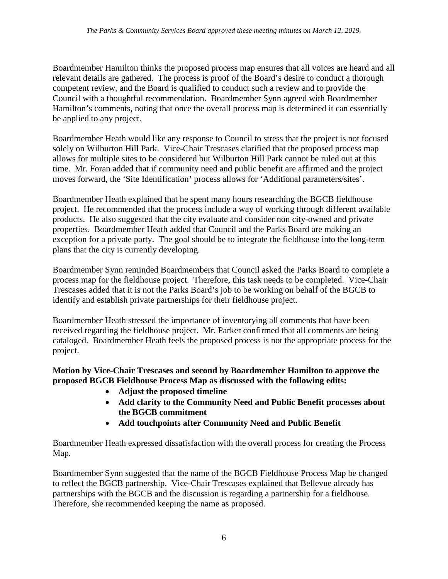Boardmember Hamilton thinks the proposed process map ensures that all voices are heard and all relevant details are gathered. The process is proof of the Board's desire to conduct a thorough competent review, and the Board is qualified to conduct such a review and to provide the Council with a thoughtful recommendation. Boardmember Synn agreed with Boardmember Hamilton's comments, noting that once the overall process map is determined it can essentially be applied to any project.

Boardmember Heath would like any response to Council to stress that the project is not focused solely on Wilburton Hill Park. Vice-Chair Trescases clarified that the proposed process map allows for multiple sites to be considered but Wilburton Hill Park cannot be ruled out at this time. Mr. Foran added that if community need and public benefit are affirmed and the project moves forward, the 'Site Identification' process allows for 'Additional parameters/sites'.

Boardmember Heath explained that he spent many hours researching the BGCB fieldhouse project. He recommended that the process include a way of working through different available products. He also suggested that the city evaluate and consider non city-owned and private properties. Boardmember Heath added that Council and the Parks Board are making an exception for a private party. The goal should be to integrate the fieldhouse into the long-term plans that the city is currently developing.

Boardmember Synn reminded Boardmembers that Council asked the Parks Board to complete a process map for the fieldhouse project. Therefore, this task needs to be completed. Vice-Chair Trescases added that it is not the Parks Board's job to be working on behalf of the BGCB to identify and establish private partnerships for their fieldhouse project.

Boardmember Heath stressed the importance of inventorying all comments that have been received regarding the fieldhouse project. Mr. Parker confirmed that all comments are being cataloged. Boardmember Heath feels the proposed process is not the appropriate process for the project.

#### **Motion by Vice-Chair Trescases and second by Boardmember Hamilton to approve the proposed BGCB Fieldhouse Process Map as discussed with the following edits:**

- **Adjust the proposed timeline**
- **Add clarity to the Community Need and Public Benefit processes about the BGCB commitment**
- **Add touchpoints after Community Need and Public Benefit**

Boardmember Heath expressed dissatisfaction with the overall process for creating the Process Map.

Boardmember Synn suggested that the name of the BGCB Fieldhouse Process Map be changed to reflect the BGCB partnership. Vice-Chair Trescases explained that Bellevue already has partnerships with the BGCB and the discussion is regarding a partnership for a fieldhouse. Therefore, she recommended keeping the name as proposed.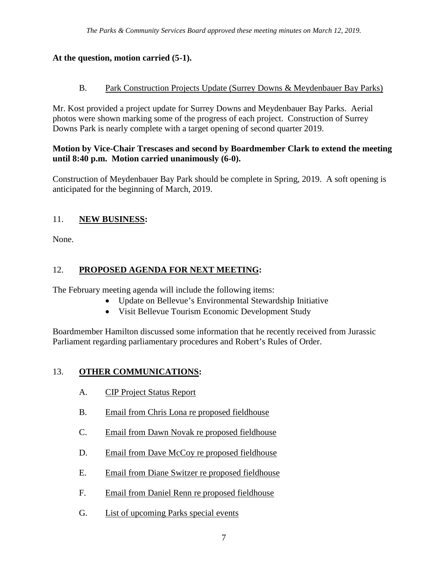## **At the question, motion carried (5-1).**

## B. Park Construction Projects Update (Surrey Downs & Meydenbauer Bay Parks)

Mr. Kost provided a project update for Surrey Downs and Meydenbauer Bay Parks. Aerial photos were shown marking some of the progress of each project. Construction of Surrey Downs Park is nearly complete with a target opening of second quarter 2019.

### **Motion by Vice-Chair Trescases and second by Boardmember Clark to extend the meeting until 8:40 p.m. Motion carried unanimously (6-0).**

Construction of Meydenbauer Bay Park should be complete in Spring, 2019. A soft opening is anticipated for the beginning of March, 2019.

# 11. **NEW BUSINESS:**

None.

# 12. **PROPOSED AGENDA FOR NEXT MEETING:**

The February meeting agenda will include the following items:

- Update on Bellevue's Environmental Stewardship Initiative
- Visit Bellevue Tourism Economic Development Study

Boardmember Hamilton discussed some information that he recently received from Jurassic Parliament regarding parliamentary procedures and Robert's Rules of Order.

# 13. **OTHER COMMUNICATIONS:**

- A. CIP Project Status Report
- B. Email from Chris Lona re proposed fieldhouse
- C. Email from Dawn Novak re proposed fieldhouse
- D. Email from Dave McCoy re proposed fieldhouse
- E. Email from Diane Switzer re proposed fieldhouse
- F. Email from Daniel Renn re proposed fieldhouse
- G. List of upcoming Parks special events